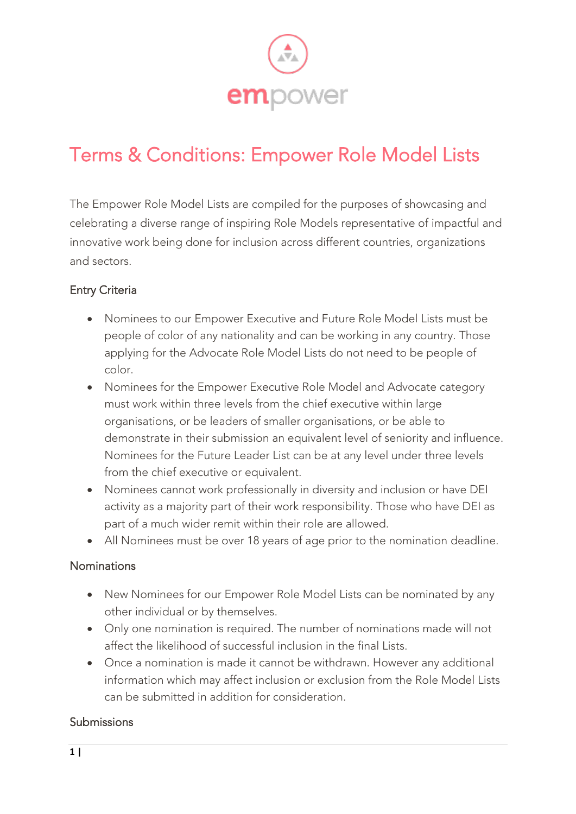

# Terms & Conditions: Empower Role Model Lists

The Empower Role Model Lists are compiled for the purposes of showcasing and celebrating a diverse range of inspiring Role Models representative of impactful and innovative work being done for inclusion across different countries, organizations and sectors.

# Entry Criteria

- Nominees to our Empower Executive and Future Role Model Lists must be people of color of any nationality and can be working in any country. Those applying for the Advocate Role Model Lists do not need to be people of color.
- Nominees for the Empower Executive Role Model and Advocate category must work within three levels from the chief executive within large organisations, or be leaders of smaller organisations, or be able to demonstrate in their submission an equivalent level of seniority and influence. Nominees for the Future Leader List can be at any level under three levels from the chief executive or equivalent.
- Nominees cannot work professionally in diversity and inclusion or have DEI activity as a majority part of their work responsibility. Those who have DEI as part of a much wider remit within their role are allowed.
- All Nominees must be over 18 years of age prior to the nomination deadline.

#### Nominations

- New Nominees for our Empower Role Model Lists can be nominated by any other individual or by themselves.
- Only one nomination is required. The number of nominations made will not affect the likelihood of successful inclusion in the final Lists.
- Once a nomination is made it cannot be withdrawn. However any additional information which may affect inclusion or exclusion from the Role Model Lists can be submitted in addition for consideration.

#### Submissions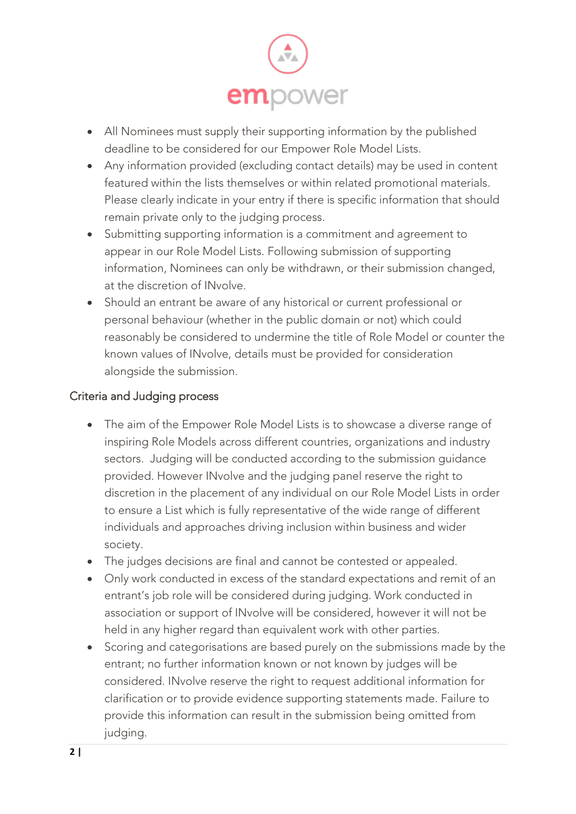

- All Nominees must supply their supporting information by the published deadline to be considered for our Empower Role Model Lists.
- Any information provided (excluding contact details) may be used in content featured within the lists themselves or within related promotional materials. Please clearly indicate in your entry if there is specific information that should remain private only to the judging process.
- Submitting supporting information is a commitment and agreement to appear in our Role Model Lists. Following submission of supporting information, Nominees can only be withdrawn, or their submission changed, at the discretion of INvolve.
- Should an entrant be aware of any historical or current professional or personal behaviour (whether in the public domain or not) which could reasonably be considered to undermine the title of Role Model or counter the known values of INvolve, details must be provided for consideration alongside the submission.

## Criteria and Judging process

- The aim of the Empower Role Model Lists is to showcase a diverse range of inspiring Role Models across different countries, organizations and industry sectors. Judging will be conducted according to the submission guidance provided. However INvolve and the judging panel reserve the right to discretion in the placement of any individual on our Role Model Lists in order to ensure a List which is fully representative of the wide range of different individuals and approaches driving inclusion within business and wider society.
- The judges decisions are final and cannot be contested or appealed.
- Only work conducted in excess of the standard expectations and remit of an entrant's job role will be considered during judging. Work conducted in association or support of INvolve will be considered, however it will not be held in any higher regard than equivalent work with other parties.
- Scoring and categorisations are based purely on the submissions made by the entrant; no further information known or not known by judges will be considered. INvolve reserve the right to request additional information for clarification or to provide evidence supporting statements made. Failure to provide this information can result in the submission being omitted from judging.